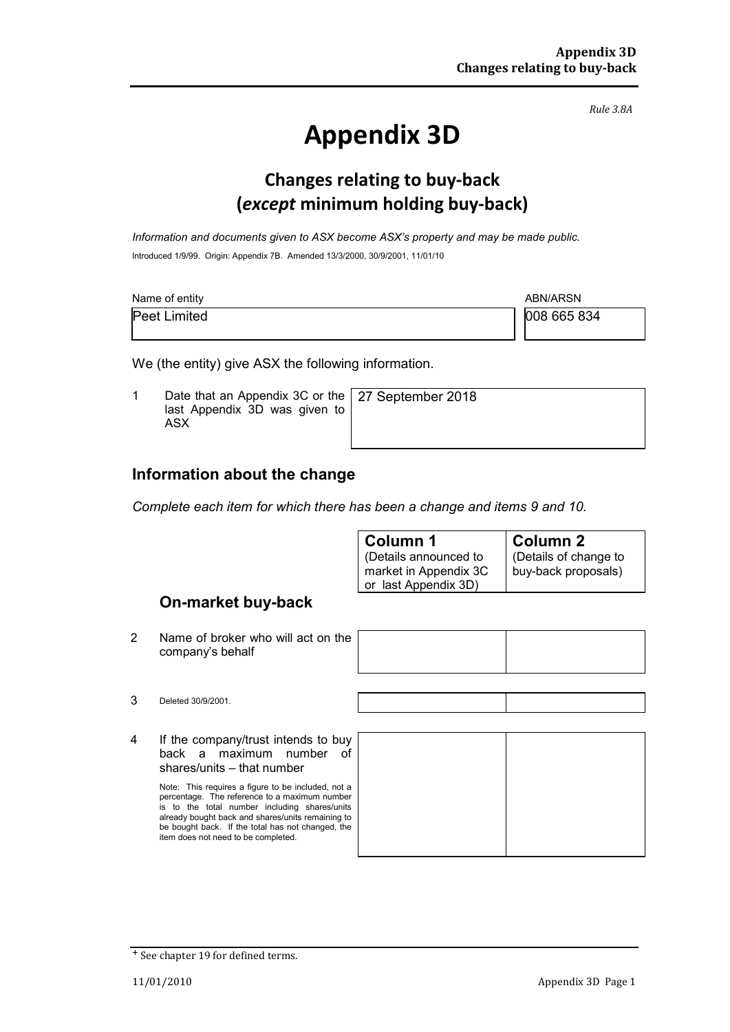*Rule 3.8A*

# **Appendix 3D**

### **Changes relating to buy-back (***except* **minimum holding buy-back)**

*Information and documents given to ASX become ASX's property and may be made public.* Introduced 1/9/99. Origin: Appendix 7B. Amended 13/3/2000, 30/9/2001, 11/01/10

| Name of entity      | ABN/ARSN    |  |
|---------------------|-------------|--|
| <b>Peet Limited</b> | 008 665 834 |  |

We (the entity) give ASX the following information.

1 Date that an Appendix 3C or the last Appendix 3D was given to ASX 27 September 2018

#### **Information about the change**

*Complete each item for which there has been a change and items 9 and 10.*

| Column 1                                                               | <b>Column 2</b>                             |
|------------------------------------------------------------------------|---------------------------------------------|
| (Details announced to<br>market in Appendix 3C<br>or last Appendix 3D) | Details of change to<br>buy-back proposals) |
|                                                                        |                                             |

#### **On-market buy-back**

2 Name of broker who will act on the company's behalf

4 If the company/trust intends to buy back a maximum number of shares/units – that number

> Note: This requires a figure to be included, not a percentage. The reference to a maximum number is to the total number including shares/units already bought back and shares/units remaining to be bought back. If the total has not changed, the item does not need to be completed.

<sup>+</sup> See chapter 19 for defined terms.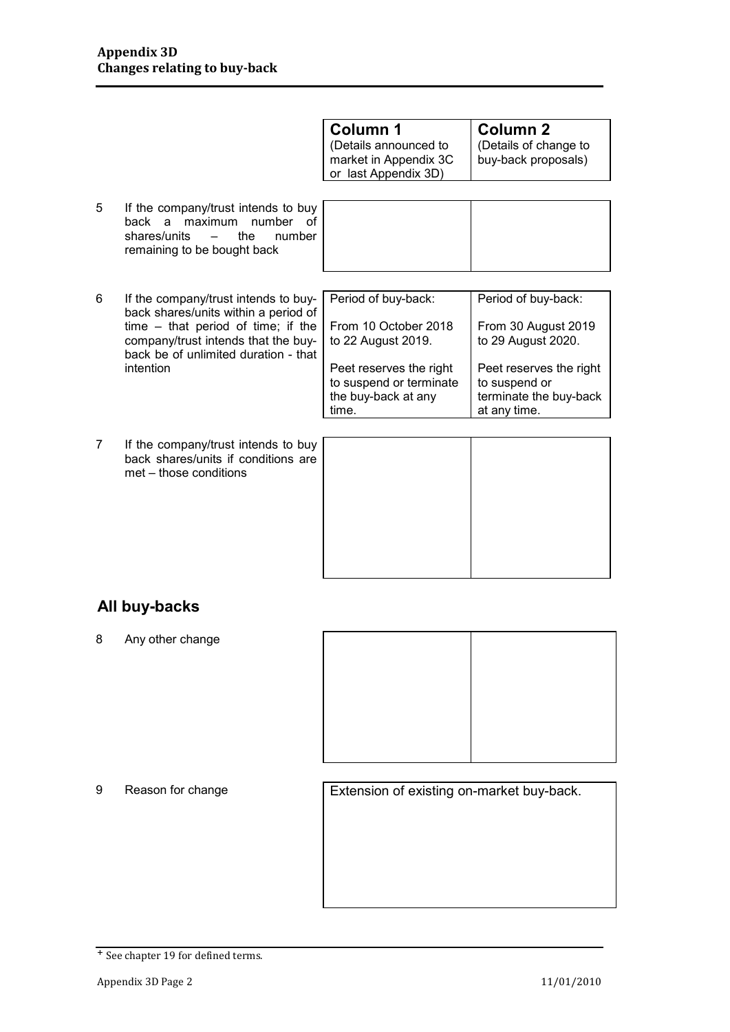|   |                                                                                                                                                                                                     | <b>Column 1</b><br>(Details announced to<br>market in Appendix 3C<br>or last Appendix 3D) | <b>Column 2</b><br>(Details of change to<br>buy-back proposals)                    |
|---|-----------------------------------------------------------------------------------------------------------------------------------------------------------------------------------------------------|-------------------------------------------------------------------------------------------|------------------------------------------------------------------------------------|
| 5 | If the company/trust intends to buy<br>back a maximum number of<br>shares/units<br>the<br>number<br>$\overline{\phantom{a}}$<br>remaining to be bought back                                         |                                                                                           |                                                                                    |
| 6 | If the company/trust intends to buy-<br>back shares/units within a period of<br>time $-$ that period of time; if the<br>company/trust intends that the buy-<br>back be of unlimited duration - that | Period of buy-back:<br>From 10 October 2018<br>to 22 August 2019.                         | Period of buy-back:<br>From 30 August 2019<br>to 29 August 2020.                   |
|   | intention                                                                                                                                                                                           | Peet reserves the right<br>to suspend or terminate<br>the buy-back at any<br>time.        | Peet reserves the right<br>to suspend or<br>terminate the buy-back<br>at any time. |

7 If the company/trust intends to buy back shares/units if conditions are met – those conditions

#### **All buy-backs**

8 Any other change



9 Reason for change **Extension of existing on-market buy-back.** 

<sup>+</sup> See chapter 19 for defined terms.